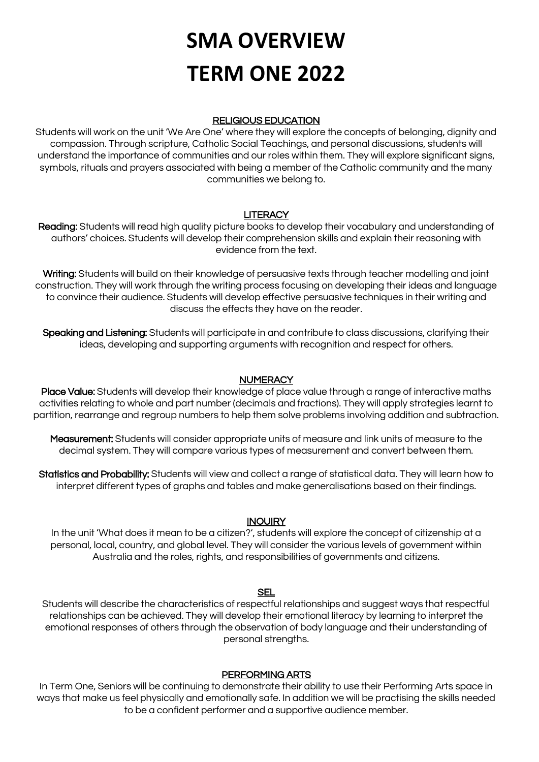# **SMA OVERVIEW TERM ONE 2022**

## RELIGIOUS EDUCATION

Students will work on the unit 'We Are One' where they will explore the concepts of belonging, dignity and compassion. Through scripture, Catholic Social Teachings, and personal discussions, students will understand the importance of communities and our roles within them. They will explore significant signs, symbols, rituals and prayers associated with being a member of the Catholic community and the many communities we belong to.

## **LITERACY**

Reading: Students will read high quality picture books to develop their vocabulary and understanding of authors' choices. Students will develop their comprehension skills and explain their reasoning with evidence from the text.

Writing: Students will build on their knowledge of persuasive texts through teacher modelling and joint construction. They will work through the writing process focusing on developing their ideas and language to convince their audience. Students will develop effective persuasive techniques in their writing and discuss the effects they have on the reader.

Speaking and Listening: Students will participate in and contribute to class discussions, clarifying their ideas, developing and supporting arguments with recognition and respect for others.

## **NUMERACY**

Place Value: Students will develop their knowledge of place value through a range of interactive maths activities relating to whole and part number (decimals and fractions). They will apply strategies learnt to partition, rearrange and regroup numbers to help them solve problems involving addition and subtraction.

Measurement: Students will consider appropriate units of measure and link units of measure to the decimal system. They will compare various types of measurement and convert between them.

Statistics and Probability: Students will view and collect a range of statistical data. They will learn how to interpret different types of graphs and tables and make generalisations based on their findings.

#### **INQUIRY**

In the unit 'What does it mean to be a citizen?', students will explore the concept of citizenship at a personal, local, country, and global level. They will consider the various levels of government within Australia and the roles, rights, and responsibilities of governments and citizens.

## **SEL**

Students will describe the characteristics of respectful relationships and suggest ways that respectful relationships can be achieved. They will develop their emotional literacy by learning to interpret the emotional responses of others through the observation of body language and their understanding of personal strengths.

## PERFORMING ARTS

In Term One, Seniors will be continuing to demonstrate their ability to use their Performing Arts space in ways that make us feel physically and emotionally safe. In addition we will be practising the skills needed to be a confident performer and a supportive audience member.